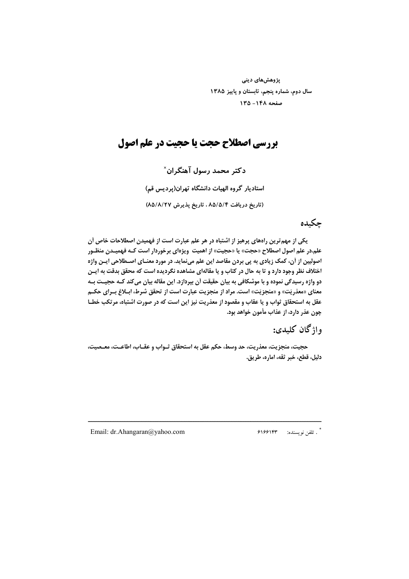پژوهشهای دینی سال دوم، شماره پنجم، تابستان و پاییز ۱۳۸۵ صفحه ١٤٨- ١٣٥

## **بررسی اصطلاح حجت یا حجیت در علم اصول**

دکتر محمد رسول آهنگران` استادیار گروه الهیات دانشگاه تهران(پردیس قم) (تاریخ دریافت ۸۵/۵/۴، تاریخ پذیرش ۸۵/۸/۲۷)

### حكىدە

یکی از مهم ترین راههای پرهیز از اشتباه در هر علم عبارت است از فهمیدن اصطلاحات خاص آن علم.در علم اصول اصطلاح «حجت» یا «حجیت» از اهمیت ویژهای برخوردار است کـه فهمیـدن منظـور اصولیین از آن، کمک زیادی به پی بردن مقاصد این علم مینماید. در مورد معنـای اصـطلاحی ایـن واژه اختلاف نظر وجود دارد و تا به حال در کتاب و یا مقالهای مشاهده نگردیده است که محقق بدقت به ایـن دو واژه رسیدگی نموده و با موشکافی به بیان حقیقت آن بپردازد. این مقاله بیان میکند کـه حجیـت بـه معنای «معذریّت» و «منجزیّت» است. مراد از منجزیت عبارت است از تحقق شرط، ابـلاغ بـرای حکـم عقل به استحقاق ثواب و یا عقاب و مقصود از معذریت نیز این است که در صورت اشتباه، مرتکب خطـا چون عذر دارد، از عذاب مأمون خواهد بود.

# واژگان كليدي:

حجيت، منجزيت، معذريت، حد وسط، حكم عقل به استحقاق ثـواب و عقـاب، اطاعـت، معـصيت، دليل، قطع، خبر ثقه، اماره، طريق.

Email: dr.Ahangaran@yahoo.com

ً . تلفن نويسنده: ۶۱۶۶۱۴۳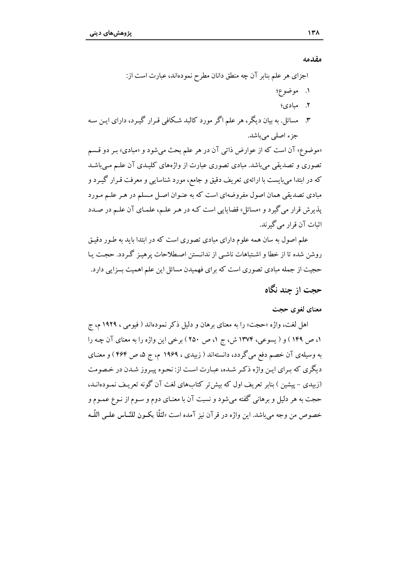مقدمه

((مو تصوری و تصدیقی می باشد. مبادی تصوری عبارت از واژههای کلیـدی آن علـم مـی باشـد که در ابتدا میبایست با ارائهی تعریف دقیق و جامع، مورد شناسایی و معرفت قـرار گیـرد و مبادی تصدیقی همان اصول مفروضهای است که به عنـوان اصـل مـسلم در هـر علـم مـورد پذیرش قرار میگیرد و «مسائل» قضایایی است کـه در هـر علـم، علمـای آن علـم در صـدد اثبات آن قرار می گیرند.

علم اصول به سان همه علوم دارای مبادی تصوری است که در ابتدا باید به طـور دقیـق روشن شده تا از خطا و اشـتباهات ناشـي از ندانـستن اصـطلاحات پرهيـز گـردد. حجـت يـا حجیت از جمله مبادی تصوری است که برای فهمیدن مسائل این علم اهمیت بسزایی دارد.

### حجت از چند نگاه

#### معنای لغوی حجت

اهل لغت، واژه «حجت» را به معنای برهان و دلیل ذکر نمودهاند ( فیومی ، ۱۹۲۹ م، ج ١، ص ١۴٩ ) و ( يسوعي، ١٣٧۴ ش، ج ١، ص ٢۵٠ ) برخي اين واژه را به معناي آن چـه را به وسیلهی آن خصم دفع میگردد، دانستهاند ( زبیدی ، ۱۹۶۹ م، ج ۵، ص ۴۶۴ ) و معنـای دیگری که برای این واژه ذکر شده، عبارت است از: نحوه پیروز شدن در خصومت (زبیدی – پیشین ) بنابر تعریف اول که بیش تر کتابهای لغت آن گونه تعریف نمـودهانــد، حجت به هر دلیل و برهانی گفته میشود و نسبت آن با معنـای دوم و سـوم از نـوع عمـوم و خصوص من وجه مي باشد. اين واژه در قر آن نيز آمده است «لئلّا يكـون للنّــاس علــي اللّــه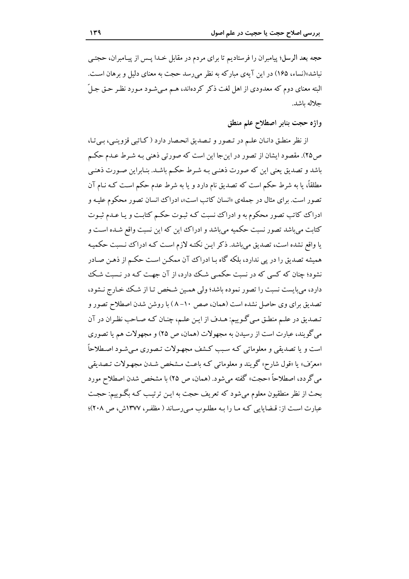حجه بعد الرسل؛ پیامبران را فرستادیم تا برای مردم در مقابل خـدا پـس از پیـامبران، حجتـی نباشد»(نساء، ۱۶۵) در این آیهی مبارکه به نظر می رسد حجت به معنای دلیل و برهان است. البته معنای دوم که معدودی از اهل لغت ذکر کردهاند، هـم مـی شـود مـورد نظـر حـق جـلّ جلاله ىاشد.

واژه حجت بنابر اصطلاح علم منطق

از نظر منطـق دانـان علـم در تـصور و تـصديق انحـصار دارد ( كـاتبي قزوينـي، بـيتـا، ص٢٥). مقصود ايشان از تصور در اين جا اين است كه صورتي ذهني بـه شـرط عـدم حكـم باشد و تصدیق یعنی این که صورت ذهنبی بـه شـرط حکـم باشـد. بنـابراین صـورت ذهنـی مطلقاً، یا به شرط حکم است که تصدیق نام دارد و یا به شرط عدم حکم است کـه نـام آن تصور است. برای مثال در جملهی «انسان کاتب است»، ادراک انسان تصور محکوم علیـه و ادراک کاتب تصور محکوم به و ادراک نسبت کـه ثبـوت حکـم کتابـت و یـا عـدم ثبـوت کتابت می باشد تصور نسبت حکمیه می باشد و ادراک این که این نسبت واقع شـده اسـت و یا واقع نشده است، تصدیق می باشد. ذکر این نکتـه لازم اسـت کـه ادراک نـسبت حکمیـه همیشه تصدیق را در یی ندارد، بلکه گاه بـا ادراک آن ممکـن اسـت حکـم از ذهـن صـادر نشود؛ چنان که کسی که در نسبت حکمبی شک دارد، از آن جهت کـه در نـسبت شـک دارد، مي بايست نسبت را تصور نموده باشد؛ ولي همين شـخص تـا از شـك خـارج نـشود، تصدیق برای وی حاصل نشده است (همان، صص ۱۰-۸) با روشن شدن اصطلاح تصور و تـصديق در علـم منطـق مـي گـوييم: هـدف از ايـن علـم، چنـان كـه صـاحب نظـران در آن می گویند، عبارت است از رسیدن به مجهولات (همان، ص ۲۵) و مجهولات هم یا تصوری است و یا تصدیقی و معلوماتی کـه سـبب کـشف مجهـولات تـصوری مـیشـود اصـطلاحاً «معرّف» يا «قول شارح» گويند و معلوماتي كـه باعـث مـشخص شـدن مجهـولات تـصديقي می گردد، اصطلاحاً «حجت» گفته میشود. (همان، ص ۲۵) با مشخص شدن اصطلاح مورد بحث از نظر منطقیون معلوم میشود که تعریف حجت به ایـن ترتیـب کـه بگـوییم: حجـت عبارت است از: قـضایایی کـه مـا را بـه مطلـوب مـیرسـاند ( مظفـر، ١٣٧٧ش، ص ٢٠٨)؛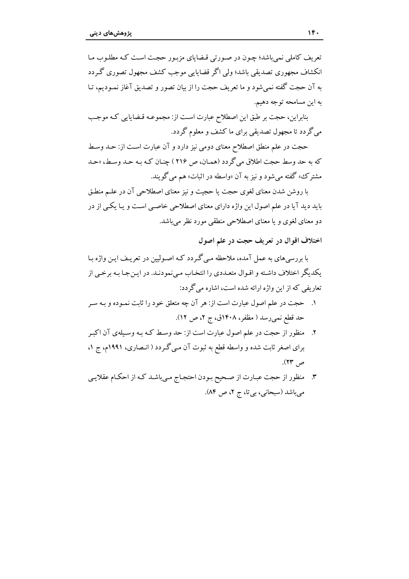تعریف کاملی نمی باشد؛ چون در صورتی قیضابای مزیور حجت است کـه مطلـوب مـا انکشاف مجھوری تصدیقی پاشد؛ ولی اگر قضابایی موجب کشف مجھول تصوری گے دد به آن حجت گفته نمي شود و ما تعريف حجت را از بيان تصور و تصديق آغاز نمـوديم، تـا به اين مسامحه توجه دهيم.

بنابراین، حجت بر طبق این اصطلاح عبارت است از: مجموعـه قـضایایی کـه موجـب می گردد تا مجهول تصدیقی برای ما کشف و معلوم گردد.

حجت در علم منطق اصطلاح معناي دومي نيز دارد و آن عبارت است از: حـد وسـط كه به حد وسط حجت اطلاق مى گردد (همان، ص ٢١۶ ) چنـان كـه بـه حـد وسـط، «حـد مشترک» گفته می شود و نیز به آن «واسطه در اثبات» هم می گویند.

با روشن شدن معنای لغوی حجت با حجبت و نیز معنای اصطلاحی آن در علیم منطـق باید دید آیا در علم اصول این واژه دارای معنای اصطلاحی خاصبی است و یـا یکـی از در دو معنای لغوی و یا معنای اصطلاحی منطقی مورد نظر می باشد.

اختلاف اقوال در تعريف حجت در علم اصول

با بررسی های به عمل آمده، ملاحظه مبی گردد کـه اصـولیین در تعریـف ایـن واژه بـا يكديگر اختلاف داشته و اقـوال متعـددي را انتخـاب مـيiمودنـد. در ايـن جـا بـه برخـي از تعاریفی که از این واژه ارائه شده است، اشاره می گردد:

- ١. حجت در علم اصول عبارت است از: هر آن چه متعلق خود را ثابت نمـوده و بـه سـر حد قطع نمي رسد ( مظفر، ١٤٠٨ق، ج ٢، ص ١٢).
- منظور از حجت در علم اصول عبارت است از: حد وسط کـه بـه وسـيلهي آن اکبـر ۲. برای اصغر ثابت شده و واسطه قطع به ثبوت آن مبی گردد ( انـصاری، ۱۹۹۱م، ج ۱، ص ۲۳).
- ۳. منظور از حجت عبارت از صحيح بـودن احتجـاج مـيباشـد كـه از احكـام عقلايـي می باشد (سبحانی، بی تا، ج ۲، ص ۸۴).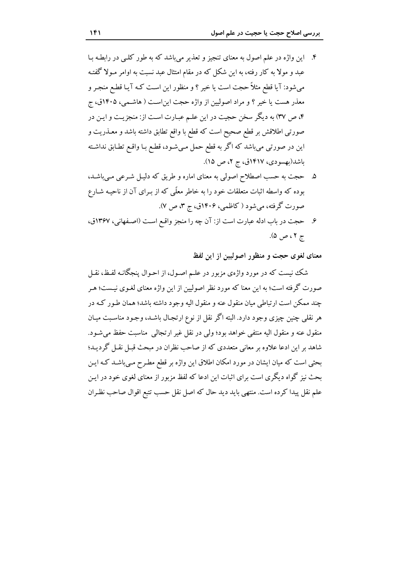- ۴. این واژه در علم اصول به معنای تنجیز و تعذیر می باشد که به طور کلبی در رابطـه بـا عبد و مولاً به کار رفته، به این شکل که در مقام امتثال عبد نسبت به اوامر مـولاً گفتـه می شود: آیا قطع مثلاً حجت است یا خیر ؟ و منظور این است کـه آیـا قطـع منجـر و معذر هست یا خیر ؟ و مراد اصولیین از واژه حجت این است ( هاشـمی، ۱۴۰۵ق، ج ۴، ص ٣٧) به ديگر سخن حجيت در اين علـم عبـارت اسـت از: منجزيـت و ايـن در صورتی اطلاقش بر قطع صحیح است که قطع با واقع تطابق داشته باشد و معـذریت و این در صورتی میباشد که اگر به قطع حمل مـیشـود، قطـع بـا واقـع تطـابق نداشـته باشد(بهسودی، ۱۴۱۷ق، ج ۲، ص ۱۵).
- ۵. حجت به حسب اصطلاح اصولی به معنای اماره و طریق که دلیل شرعی مبی باشـد، بوده که واسطه اثبات متعلقات خود را به خاطر معلّمي که از بـراي آن از ناحيـه شـارع صورت گرفته، می شود (کاظمی، ۱۴۰۶ق، ج ۳، ص ۷).
- ۶. حجت در باب ادله عبارت است از: آن چه را منجز واقع است (اصفهانی، ۱۳۶۷ق، ج ۲، ص ۵).

معنای لغوی حجت و منظور اصولیین از این لفظ

شک نیست که در مورد واژهی مزبور در علـم اصـول، از احـوال پنجگانـه لفـظ، نقـل صورت گرفته است؛ به این معنا که مورد نظر اصولیین از این واژه معنای لغـوی نیـست؛ هـر چند ممکن است ارتباطی میان منقول عنه و منقول الیه وجود داشته باشد؛ همان طـور کـه در هر نقلبی چنین چیزی وجود دارد. البته اگر نقل از نوع ارتجـال باشــد، وجـود مناسـبت میـان منقول عنه و منقول اليه منتفى خواهد بود؛ ولى در نقل غير ارتجالي ٍ مناسبت حفظ مى شـود. شاهد بر این ادعا علاوه بر معانی متعددی که از صاحب نظران در مبحث قبـل نقـل گردیـد؛ بحثی است که میان ایشان در مورد امکان اطلاق این واژه بر قطع مطـرح مـیباشـد کـه ایـن بحث نیز گواه دیگری است برای اثبات این ادعا که لفظ مزبور از معنای لغوی خود در ایـن علم نقل پیدا کرده است. منتهی باید دید حال که اصل نقل حسب تتبع اقوال صاحب نظـران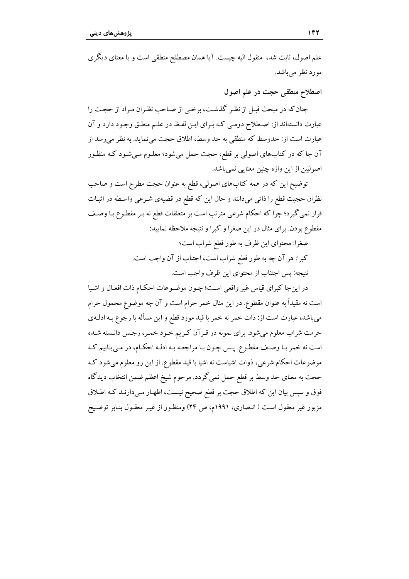علم اصول، ثابت شد، منقول اليه چيست. آيا همان مصطلح منطقي است و يا معناي ديگري مورد نظر مے باشد.

اصطلاح منطقي حجت در علم اصول

چنان که در مبحث قبل از نظر گذشت، برخبی از صـاحب نظـران مـراد از حجـت را عبارت دانستهاند از: اصطلاح دومبي كـه بـراي ايـن لفـظ در علـم منطـق وجـود دارد و آن عبارت است از: حدوسط که منطقی به حد وسط، اطلاق حجت می نماید. به نظر می رسد از آن جا که در کتابهای اصولی بر قطع، حجت حمل می شود؛ معلـوم مـی شـود کـه منظـور اصوليين از اين واژه چنين معنايي نميباشد.

توضیح این که در همه کتابهای اصولی، قطع به عنوان حجت مطرح است و صاحب نظران حجيت قطع را ذاتي مي دانند و حال اين كه قطع در قضيهي شـرعي واسـطه در اثبـات قرار نمی گیرد؛ چرا که احکام شرعی مترتب است بر متعلقات قطع نه بـر مقطـوع بـا وصـف مقطوع بودن. براي مثال در اين صغرا و كبرا و نتيجه ملاحظه نماييد:

> صغرا: محتواي اين ظرف به طور قطع شراب است؛ كبرا: هر آن چه به طور قطع شراب است، اجتناب از آن واجب است. نتيجه: پس اجتناب از محتواي اين ظرف واجب است.

در اين جا كبراي قياس غير واقعي است؛ چـون موضـوعات احكـام ذات افعـال و اشـيا است نه مقیداً به عنوان مقطوع. در این مثال خمر حرام است و آن چه موضوع محمول حرام میباشد، عبارت است از: ذات خمر نه خمر با قید مورد قطع و این مسأله با رجوع بـه ادلـهي حرمت شراب معلوم میشود. برای نمونه در قـرآن کـریم خـود خمـر، رجـس دانـسته شـده است نه خمر با وصف مقطوع. پس چون با مراجعه بـه ادلـه احکـام، در مـي\_بابيم کـه موضوعات احکام شرعی، ذوات اشیاست نه اشیا با قید مقطوع. از این رو معلوم میشود ک حجت به معناي حد وسط بر قطع حمل نمي گردد. مرحوم شيخ اعظم ضمن انتخاب ديدگاه فوق و سپس بیان این که اطلاق حجت بر قطع صحیح نیست، اظهـار مـیدارنـد کـه اطـلاق مزبور غیر معقول است ( انـصاری، ۱۹۹۱م، ص ۲۴) ومنظـور از غیـر معقـول بنـابر توضـیح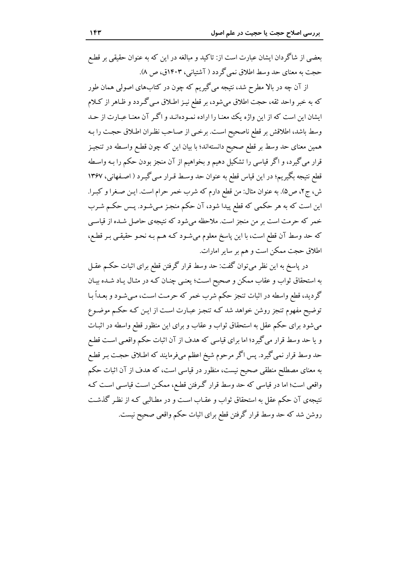بعضی از شاگردان ایشان عبارت است از: تاکید و مبالغه در این که به عنوان حقیقی بر قطع حجت به معنای حد وسط اطلاق نمی گردد ( آشتیانی، ۱۴۰۳ق، ص ۸).

از آن چه در بالا مطرح شد، نتیجه می گیریم که چون در کتابهای اصولی همان طور که به خبر واحد ثقه، حجت اطلاق میشود، بر قطع نیـز اطـلاق مـی گـردد و ظـاهر از کـلام ایشان این است که از این واژه یک معنـا را اراده نمـودهانـد و اگـر آن معنـا عبـارت از حـد وسط باشد، اطلاقش بر قطع ناصحيح است. برخمي از صـاحب نظـران اطـلاق حجـت را بـه همین معنای حد وسط بر قطع صحیح دانستهاند؛ با بیان این که چون قطـع واسـطه در تنجیـز قرار مي گيرد، و اگر قياسي را تشكيل دهيم و بخواهيم از آن منجز بودن حكم را بـه واسـطه قطع نتيجه بگيريم؛ در اين قياس قطع به عنوان حد وسط قـرار مـي گيـرد ( اصـفهاني، ١٣۶٧ ش، ج۲، ص۵). به عنوان مثال: من قطع دارم که شرب خمر حرام است. ایـن صـغرا و کبـرا. این است که به هر حکمی که قطع پیدا شود، آن حکم منجز می شـود. پـس حکـم شـرب خمر که حرمت است بر من منجز است. ملاحظه می شود که نتیجهی حاصل شـده از قیاسـی كه حد وسط آن قطع است، با اين پاسخ معلوم مي شـود كـه هـم بـه نحـو حقيقـي بـر قطـع، اطلاق حجت ممکن است و هم بر سایر امارات.

در پاسخ به این نظر میتوان گفت: حد وسط قرار گرفتن قطع برای اثبات حکـم عقـل به استحقاق ثواب و عقاب ممکن و صحیح است؛ یعنبی چنـان کـه در مثـال یـاد شـده بیـان گردید، قطع واسطه در اثبات تنجز حکم شرب خمر که حرمت است، می شـود و بعـداً بـا توضیح مفهوم تنجز روشن خواهد شد کـه تنجـز عبـارت اسـت از ایـن کـه حکـم موضـوع می شود برای حکم عقل به استحقاق ثواب و عقاب و برای این منظور قطع واسطه در اثبـات و یا حد وسط قرار میگیرد؛ اما برای قیاسی که هدف از آن اثبات حکم واقعـی اسـت قطـع حد وسط قرار نمی گیرد. پس اگر مرحوم شیخ اعظم میفرمایند که اطـلاق حجـت بـر قطـع به معنای مصطلح منطقی صحیح نیست، منظور در قیاسی است، که هدف از آن اثبات حکم واقعی است؛ اما در قیاسی که حد وسط قرار گرفتن قطع، ممکن است قیاسی است کـه نتیجهی آن حکم عقل به استحقاق ثواب و عقـاب اسـت و در مطـالبـی کـه از نظـر گذشـت روشن شد که حد وسط قرار گرفتن قطع برای اثبات حکم واقعی صحیح نیست.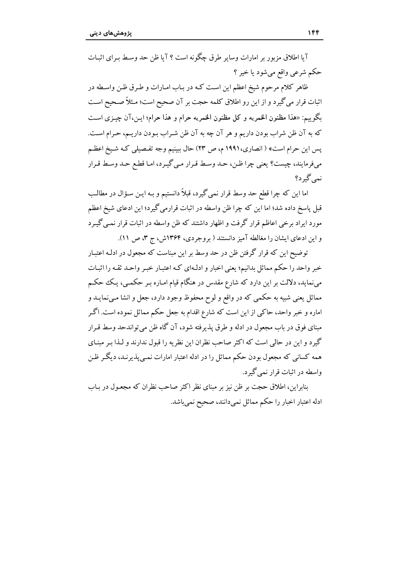آیا اطلاق مزبور پر امارات وسایر طرق جگونه است ؟ آیا ظن جد وسط به ای اثبات حکم شرعي واقع مي شود يا خير ؟

ظاهر كلام مرحوم شيخ اعظم اين است كـه در بـاب امـارات و طـرق ظـن واسـطه در اثبات قرار می گیرد و از این رو اطلاق کلمه حجت بر آن صحیح است؛ مـثلاً صـحیح اسـت يگوييم: «هذا مظنون الخمريه و كل مظنون الخمريه حرام و هذا حرام؛ ابن،آن چيزي است كه به آن ظن شراب بودن داريم و هر آن چه به آن ظن شـراب بـودن داريــم، حـرام اســت. یس این حرام است» ( انصاری، ۱۹۹۱ م، ص ۲۳) حال بیپنیم وجه تفـصیلی کـه شـیخ اعظـم مي فرمايند، چيست؟ يعني چرا ظن، حـد وسـط قـرار مـي گيـرد، امـا قطـع حـد وسـط قـرار نمے گہ د؟

اما این که چرا قطع حد وسط قرار نمی گیرد، قبلاً دانستیم و بـه ایـن سـؤال در مطالـب قبل پاسخ داده شد؛ اما این که چرا ظن واسطه در اثبات قرارمی گیرد؛ این ادعای شیخ اعظم مورد ایراد برخی اعاظم قرار گرفت و اظهار داشتند که ظن واسطه در اثبات قرار نمبی گیـرد و این ادعای ایشان را مغالطه آمیز دانستند ( بروجردی، ۱۳۶۴ش، ج ۳، ص ۱۱).

توضیح این که قرار گرفتن ظن در حد وسط بر این مبناست که مجعول در ادلـه اعتبـار خبر واحد را حکم مماثل بدانیم؛ یعنی اخبار و ادلـهای کـه اعتبـار خبـر واحـد ثقـه را اثبـات می،نماید، دلالت بر این دارد که شارع مقدس در هنگام قیام امـاره بـر حکمـی، یـک حکـم مماثل يعني شبيه به حكمي كه در واقع و لوح محفوظ وجود دارد، جعل و انشا مـيiمايــد و اماره و خبر واحد، حاکی از این است که شارع اقدام به جعل حکم مماثل نموده است. اگـر مبنای فوق در باب مجعول در ادله و طرق پذیرفته شود، آن گاه ظن می تواندحد وسط قبرار گیرد و این در حالی است که اکثر صاحب نظران این نظریه را قبول ندارند و لـذا بـر مبنـای همه کسانی که مجعول بودن حکم مماثل را در ادله اعتبار امارات نمبی پذیرنید، دیگیر ظن واسطه در اثبات قرار نمی گیرد.

بنابراین، اطلاق حجت بر ظن نیز بر مبنای نظر اکثر صاحب نظران که مجعـول در بـاب ادله اعتبار اخبار را حکم مماثل نمی دانند، صحیح نمی باشد.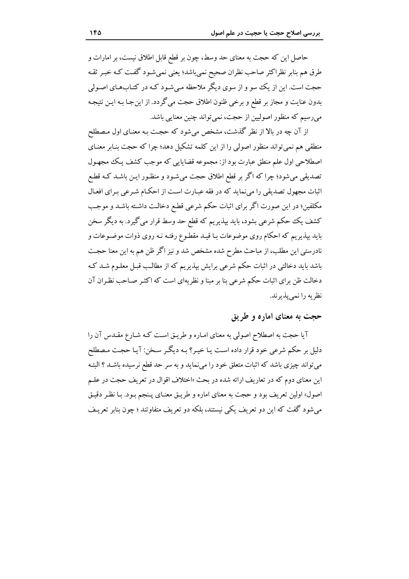حاصل این که حجت به معنای حد وسط، چون بر قطع قابل اطلاق نیست، بر امارات و طرق هم بنابر نظراكثر صاحب نظران صحيح نمي باشد؛ يعني نمي شـود گفـت كـه خبـر ثقـه حجت است. این از یک سو و از سوی دیگر ملاحظه میشود کـه در کتـابهـای اصـولی بدون عنايت و مجاز بر قطع و برخي ظنون اطلاق حجت مي گردد. از اين جـا بـه ايـن نتيجـه میرسیم که منظور اصولیین از حجت، نمی تواند چنین معنایی باشد.

از آن چه در بالا از نظر گذشت، مشخص می شود که حجت بـه معنـای اول مـصطلح منطقی هم نمی تواند منظور اصولی را از این کلمه تشکیل دهد؛ چرا که حجت بنـابر معنـای اصطلاحی اول علم منطق عبارت بود از: مجموعه قضایایی که موجب کشف یک مجهول تصدیقی می شود؛ چرا که اگر بر قطع اطلاق حجت می شـود و منظـور ایـن باشـد کـه قطـع اثبات مجهول تصدیقی را می نماید که در فقه عبـارت اسـت از احکـام شـرعی بـرای افعـال مکلفین؛ در این صورت اگر برای اثبات حکم شرعی قطع دخالـت داشـته باشـد و موجـب کشف یک حکم شرعی بشود، باید بپذیریم که قطع حد وسط قرار می گیرد. به دیگر سخن باید بیذیریم که احکام روی موضوعات بـا قیـد مقطـوع رفتـه نـه روی ذوات موضـوعات و نادرستی این مطلب، از مباحث مطرح شده مشخص شد و نیز اگر ظن هم به این معنا حجت باشد باید دخالتی در اثبات حکم شرعی برایش بپذیریم که از مطالب قبـل معلـوم شـد کـه دخالت ظن برای اثبات حکم شرعی بنا بر مبنا و نظریهای است که اکثـر صـاحب نظـران آن نظريه را نمي يذيرند.

#### حجت به معنای اماره و طریق

آیا حجت به اصطلاح اصولی به معنای امـاره و طریـق اسـت کـه شـارع مقـدس آن را دلیل بر حکم شرعی خود قرار داده است یـا خیـر؟ بـه دیگـر سـخن: آیـا حجـت مـصطلح می تواند چیزی باشد که اثبات متعلق خود را می نماید و به سر حد قطع نرسیده باشـد ؟ البتـه این معنای دوم که در تعاریف ارائه شده در بحث «اختلاف اقوال در تعریف حجت در علـم اصول» اولین تعریف بود و حجت به معنای اماره و طریـق معنـای پـنجم بـود. بـا نظـر دقیـق می شود گفت که این دو تعریف یکی نیستند، بلکه دو تعریف متفاوتند ؛ چون بنابر تعریـف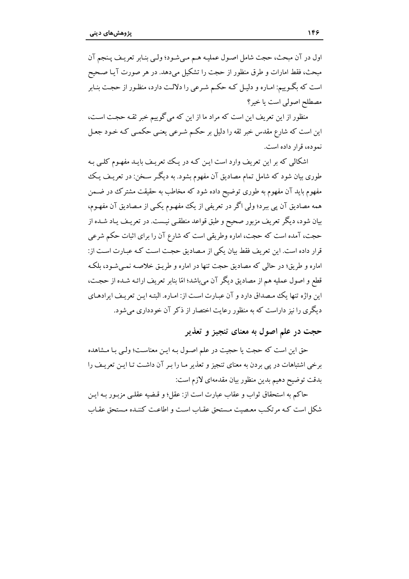اول در آن مبحث، حجت شامل اصول عمليـه هـم مـي شـود؛ ولـي بنـابر تعريـف يـنجم آن مبحث، فقط امارات و طرق منظور از حجت را تشکیل می دهد. در هر صورت آیـا صـحیح است که بگـوییم: امـاره و دلیـل کـه حکـم شـرعی را دلالـت دارد، منظـور از حجـت بنـابر مصطلح اصولی است یا خیر؟

منظور از این تعریف این است که مراد ما از این که می گوییم خبر ثقـه حجـت اسـت، این است که شارع مقدس خبر ثقه را دلیل بر حکـم شـرعی یعنـی حکمـی کـه خـود جعـل نمو ده، قرار داده است.

اشکالی که بر این تعریف وارد است این کیه در یک تعریف بایید مفهوم کلبی پیه طوری بیان شود که شامل تمام مصادیق آن مفهوم بشود. به دیگـر سـخن: در تعریـف یـک مفهوم باید آن مفهوم به طوری توضیح داده شود که مخاطب به حقیقت مشترک در ضـمن همه مصادیق آن پی ببرد؛ ولی اگر در تعریفی از یک مفهـوم یکـی از مـصادیق آن مفهـوم، بیان شود، دیگر تعریف مزبور صحیح و طبق قواعد منطقبی نیست. در تعریـف یـاد شـده از حجت، آمده است که حجت، اماره وطریقی است که شارع آن را برای اثبات حکم شرعی قرار داده است. این تعریف فقط بیان یکی از مصادیق حجت است کـه عبـارت اسـت از: اماره و طریق؛ در حالی که مصادیق حجت تنها در اماره و طریـق خلاصـه نمـیشـود، بلکـه قطع و اصول عملیه هم از مصادیق دیگر آن میباشد؛ امّا بنابر تعریف ارائـه شـده از حجـت، این واژه تنها یک مصداق دارد و آن عبارت است از: امـاره. البتـه ایـن تعریـف ایرادهـای دیگری را نیز داراست که به منظور رعایت اختصار از ذکر آن خودداری می شود.

حجت در علم اصول به معنای تنجیز و تعذیر

حق این است که حجت یا حجیت در علم اصـول بـه ایـن معناسـت؛ ولـی بـا مـشاهده برخی اشتباهات در پی بردن به معنای تنجیز و تعذیر مـا را بـر آن داشـت تـا ایـن تعریـف را بدقت توضيح دهيم بدين منظور بيان مقدمهاي لازم است:

حاكم به استحقاق ثواب و عقاب عبارت است از: عقل؛ و قبضه عقلبي مزيبور بـه ايـن شکل است کـه مرتکـب معـصیت مـستحق عقـاب اسـت و اطاعـت کننـده مـستحق عقـاب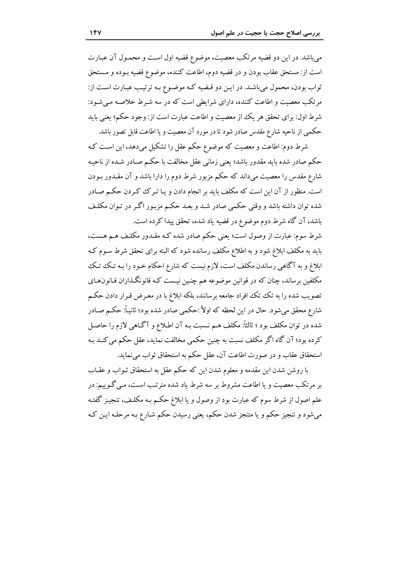می باشد. در این دو قضیه مرتکب معصیت، موضوع قضیه اول است و محمـول آن عبـارت است از: مستحق عقاب بودن و در قضیه دوم، اطاعت کننده، موضوع قضیه بـوده و مـستحق ثواب بودن، محمول مي باشـد. در ايـن دو قـضيه كـه موضـوع بـه ترتيـب عبـارت اسـت از: مرتکب معصیت و اطاعت کننده، دارای شرایطی است که در سه شیرط خلاصیه می شود: شرط اول: براي تحقق هر يك از معصيت و اطاعت عبارت است از: وجود حكم؛ يعني بايد حکمی از ناحیه شارع مقدس صادر شود تا در مورد آن معصیت و یا اطاعت قابل تصور باشد.

شرط دوم: اطاعت و معصیت که موضوع حکم عقل را تشکیل میدهد، این است کـه حکم صادر شده باید مقدور باشد؛ یعنی زمانی عقل مخالفت با حکیم صیادر شیده از ناحیه شارع مقدس را معصیت می،داند که حکم مزبور شرط دوم را دارا باشد و آن مقــدور بـودن است. منظور از آن این است که مکلف باید بر انجام دادن و یـا تـر کـُ کـردن حکـم صـادر شده توان داشته باشد و وقتی حکمی صادر شـد و بعـد حکـم مزبـور اگـر در تـوان مکلـف باشد، آن گاه شرط دوم موضوع در قضیه یاد شده، تحقق پیدا کرده است.

شرط سوم: عبارت از وصول است؛ یعنی حکم صادر شده کـه مقـدور مکلـف هـم هـست، باید به مکلف ابلاغ شود و به اطلاع مکلف رسانده شود که البته برای تحقق شرط سـوم کـه ابلاغ و به آگاهی رساندن مکلف است، لازم نیست که شارع احکام خـود را بـه تـک تتک مکلفین برساند، چنان که در قوانین موضوعه هم چنـین نیـست کـه قانونگـذاران قـانون&ای تصویب شده را به تک تک افراد جامعه برسانند، بلکه ابلاغ با در معـرض قـرار دادن حکـم شارع محقق مي شود. حال در اين لحظه كه اولاً :حكمي صادر شده بود؛ ثانيـاً: حكـم صـادر شده در توان مکلف بود ؛ ثالثاً: مکلف هـم نـسبت بـه آن اطـلاع و آگـاهی لازم را حاصـل كرده بود؛ آن گاه اگر مكلف نسبت به چنین حكمی مخالفت نماید، عقل حكم می كنـد بـه استحقاق عقاب و در صورت اطاعت آن، عقل حکم به استحقاق ثواب می نماید.

با روشن شدن این مقدمه و معلوم شدن این که حکم عقل به استحقاق ثـواب و عقـاب بر مرتکب معصیت و یا اطاعت مشروط بر سه شرط یاد شده مترتـب اسـت، مـی گـوییم: در علم اصول از شرط سوم که عبارت بود از وصول و یا ابلاغ حکـم بـه مکلـف، تنجیـز گفتـه میشود و تنجیز حکم و یا متنجز شدن حکم، یعنی رسیدن حکم شـارع بـه مرحلـه ایـن کـه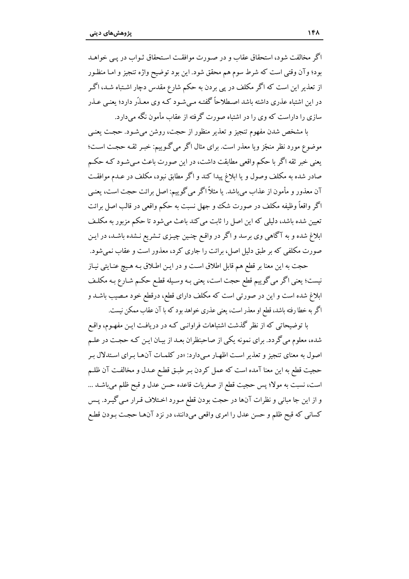اگر مخالفت شود، استحقاق عقاب و در صورت موافقت استحقاق ثـواب در یـی خواهـد بود؛ وآن وقتي است كه شرط سوم هم محقق شود. اين بود توضيح واژه تنجيز و امـا منظـور از تعذیر این است که اگر مکلف در یی بردن به حکم شارع مقدس دچار اشـتباه شـد، اگـر در این اشتباه عذری داشته باشد اصطلاحاً گفتـه مـی شـود کـه وی معـذّر دارد؛ یعنـی عـذر سازی را داراست که وی را در اشتباه صورت گرفته از عقاب مأمون نگه می دارد.

با مشخص شدن مفهوم تنجيز و تعذير منظور از حجت، روشن مي شـود. حجـت يعنـي موضوع مورد نظر منجّز ویا معذر است. برای مثال اگر می گـوییم: خبـر ثقـه حجـت اسـت؛ یعنی خبر ثقه اگر یا حکم واقعی مطابقت داشت، در این صورت پاعث مے شیود کیه حکیم صادر شده به مکلف وصول و یا ابلاغ پیدا کند و اگر مطابق نبود، مکلف در عـدم موافقـت آن معذور و مأمون از عذاب مي باشد. يا مثلاً اگر مي گوييم: اصل برائت حجت است، يعنـي اگر واقعاً وظیفه مکلف در صورت شک وو جهل نسبت به حکم واقعی در قالب اصل برائت تعیین شده باشد، دلیلی که این اصل را ثابت می کند باعث می شود تا حکم مزبور به مکلـف ابلاغ شده و به آگاهی وی برسد و اگر در واقع چنـین چیـزی تـشریع نـشده باشـد، در ایـن صورت مکلفی که بر طبق دلیل اصل، برائت را جاری کرد، معذور است و عقاب نمی شود.

حجت به این معنا بر قطع هم قابل اطلاق است و در ایـن اطـلاق بـه هـیچ عنـایتی نیـاز نيست؛ يعني اگر مي گوييم قطع حجت است، يعني بـه وسـيله قطـع حكـم شـارع بـه مكلـف ابلاغ شده است و این در صورتی است که مکلف دارای قطع، درقطع خود مـصیب باشــد و اگر به خطا رفته باشد، قطع او معذر است، یعنی عذری خواهد بود که با آن عقاب ممکن نیست.

با توضیحاتی که از نظر گذشت اشتباهات فراوانبی کـه در دریافـت ایـن مفهـوم، واقـع شده، معلوم میگردد. برای نمونه یکی از صاحبنظران بعـد از بیـان ایـن کـه حجـت در علـم اصول به معنای تنجیز و تعذیر است اظهـار مـیدارد: «در کلمـات آنهـا بـرای اسـتدلال بـر حجیت قطع به این معنا آمده است که عمل کردن بـر طبـق قطـع عـدل و مخالفـت آن ظلـم است، نسبت به مولا؛ پس حجیت قطع از صغریات قاعده حسن عدل و قبح ظلم میباشـد ... و از این جا مبانی و نظرات آنها در حجت بودن قطع مـورد اخـتلاف قـرار مـی گیـرد. پـس كساني كه قبح ظلم و حسن عدل را امرى واقعى مىدانند، در نزد آنهـا حجـت بـودن قطـع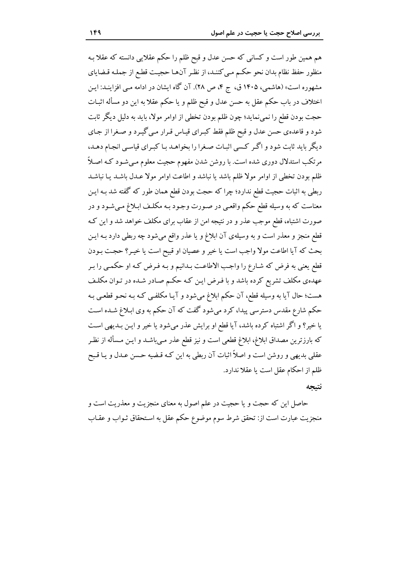هم همین طور است و کسانی که حسن عدل و قبح ظلم را حکم عقلایی دانسته که عقلا بـه منظور حفظ نظام بدان نحو حکم مبي کننـد، از نظـر آنھـا حجيـت قطـع از جملـه قـضاياي مشهوره است» (هاشمی، ۱۴۰۵ ق، ج ۴، ص ۲۸). آن گاه ایشان در ادامه مـی افزاینـد: ایـن اختلاف در باب حکم عقل به حسن عدل و قبح ظلم و یا حکم عقلا به این دو مسأله اثبـات حجت بودن قطع را نمي نمايد؛ چون ظلم بودن تخطي از اوامر مولا، بايد به دليل ديگر ثابت شود و قاعدهي حسن عدل و قبح ظلم فقط كبـراي قيـاس قـرار مـي گيـرد و صـغرا از جـاي دیگر باید ثابت شود و اگـر کـسی اثبـات صـغرا را بخواهـد بـا کبـرای قیاسـی انجـام دهـد، مرتکب استدلال دوری شده است. با روشن شدن مفهوم حجیت معلوم مـی شـود کـه اصـلاً ظلم بودن تخطى از اوامر مولا ظلم باشد يا نباشد و اطاعت اوامر مولا عـدل باشـد يـا نباشـد ربطي به اثبات حجيت قطع ندارد؛ چرا كه حجت بودن قطع همان طور كه گفته شد بـه ايـن معناست که به وسیله قطع حکم واقعبی در صورت وجود بـه مکلـف ابـلاغ مـی شـود و در صورت اشتباه، قطع موجب عذر و در نتیجه امن از عقاب برای مکلف خواهد شد و این ک قطع منجز و معذر است و به وسیلهی آن ابلاغ و یا عذر واقع می شود چه ربطی دارد بـه ایـن بحث كه آيا اطاعت مولاً واجب است يا خير و عصيان او قبيح است يا خيـر؟ حجـت بـودن قطع يعني به فرض كه شـارع را واجـب الاطاعـت بـدانيم و بـه فـرض كـه او حكمـي را بـر عهدهی مکلف تشریع کرده باشد و با فـرض ایـن کـه حکـم صـادر شـده در تـوان مکلـف هست؛ حال آيا به وسيله قطع، آن حكم ابلاغ مي شود و آيـا مكلفـي كـه بـه نحـو قطعـي بـه حکم شارع مقدس دسترسی پیدا، کرد میشود گفت که آن حکم به وی ابـلاغ شــده اسـت یا خیر؟ و اگر اشتباه کرده باشد، آیا قطع او برایش عذر میشود یا خیر و ایـن بـدیهی اسـت که بارزترین مصداق ابلاغ، ابلاغ قطعی است و نیز قطع عذر مـیباشـد و ایـن مـسأله از نظـر عقلبي بديهي و روشن است و اصلاً اثبات آن ربطي به اين كـه قـضيه حـسن عـدل و يـا قـبح ظلم از احکام عقل است یا عقلا ندارد.

#### نتىجە

حاصل این که حجت و یا حجیت در علم اصول به معنای منجزیت و معذریت است و منجزيت عبارت است از: تحقق شرط سوم موضوع حكم عقل به استحقاق ثـواب و عقـاب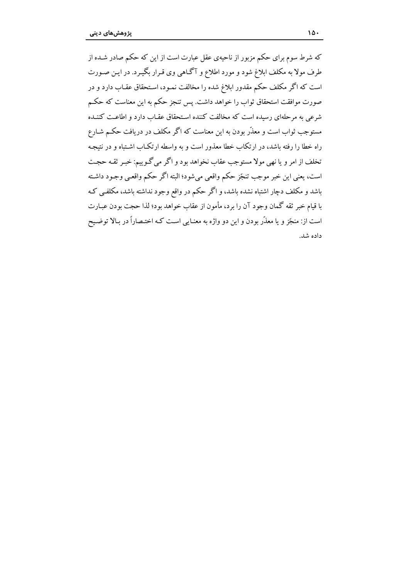که شرط سوم برای حکم مزبور از ناحیهی عقل عبارت است از این که حکم صادر شـده از طرف مولا به مکلف ابلاغ شود و مورد اطلاع و آگـاهی وی قـرار بگیـرد. در ایـن صـورت است که اگر مکلف حکم مقدور ابلاغ شده را مخالفت نمـود، اسـتحقاق عقـاب دارد و در صورت موافقت استحقاق ثواب را خواهد داشت. پس تنجز حکم به این معناست که حکـم شرعی به مرحلهای رسیده است که مخالفت کننده استحقاق عقبا دارد و اطاعت کننـده مستوجب ثواب است و معذّر بودن به این معناست که اگر مکلف در دریافت حکـم شـارع راه خطا را رفته باشد، در ارتکاب خطا معذور است و به واسطه ارتکـاب اشـتباه و در نتيجـه تخلف از امر و یا نهی مولا مستوجب عقاب نخواهد بود و اگر می گـوییم: خبیر ثقبه حجبت است، يعني اين خبر موجب تنجّز حكم واقعي مي شود؛ البته اگر حكم واقعـي وجـود داشـته باشد و مکلف دچار اشتباه نشده باشد، و اگر حکم در واقع وجود نداشته باشد، مکلفبی ک با قيام خبر ثقه گمان وجود آن را برد، مأمون از عقاب خواهد بود؛ لذا حجت بودن عبـارت است از: منجّز و یا معذّر بودن و این دو واژه به معنـایی است کـه اختـصاراً در بـالا توضـیح داده شد.